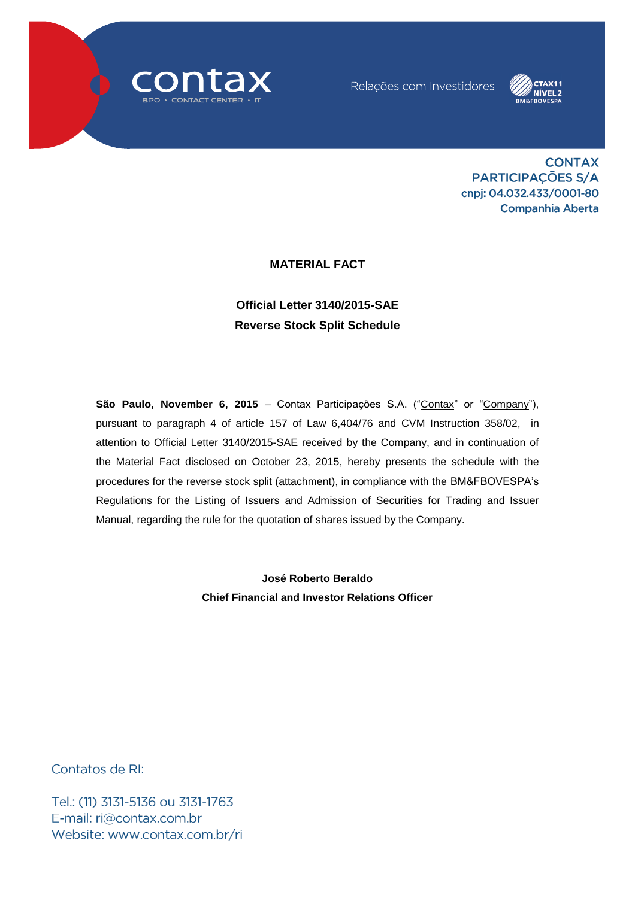



**CONTAX** PARTICIPAÇÕES S/A cnpj: 04.032.433/0001-80 **Companhia Aberta** 

## **MATERIAL FACT**

## **Official Letter 3140/2015-SAE Reverse Stock Split Schedule**

**São Paulo, November 6, 2015** – Contax Participações S.A. ("Contax" or "Company"), pursuant to paragraph 4 of article 157 of Law 6,404/76 and CVM Instruction 358/02, in attention to Official Letter 3140/2015-SAE received by the Company, and in continuation of the Material Fact disclosed on October 23, 2015, hereby presents the schedule with the procedures for the reverse stock split (attachment), in compliance with the BM&FBOVESPA's Regulations for the Listing of Issuers and Admission of Securities for Trading and Issuer Manual, regarding the rule for the quotation of shares issued by the Company.

> **José Roberto Beraldo Chief Financial and Investor Relations Officer**

Contatos de RI:

Tel.: (11) 3131-5136 ou 3131-1763 E-mail: ri@contax.com.br Website: www.contax.com.br/ri